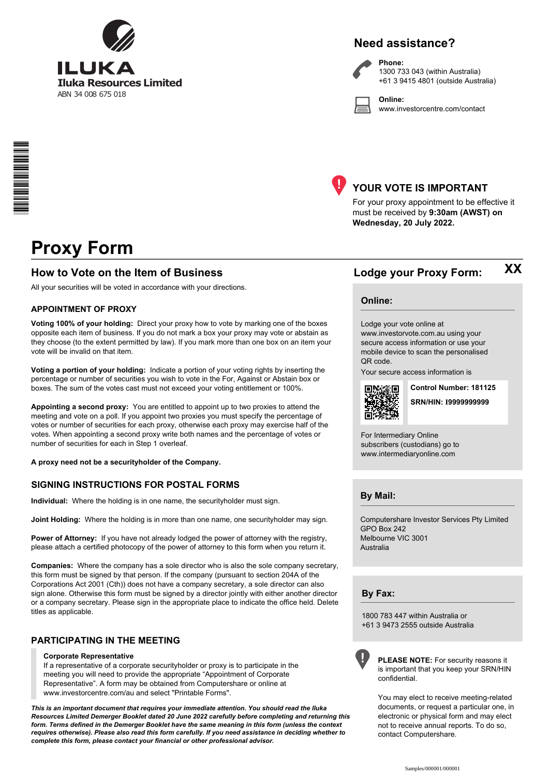

## **Need assistance?**



**Phone:** 1300 733 043 (within Australia) +61 3 9415 4801 (outside Australia)

**Online:** www.investorcentre.com/contact



### **YOUR VOTE IS IMPORTANT**

For your proxy appointment to be effective it must be received by **9:30am (AWST) on Wednesday, 20 July 2022.**

# **Proxy Form**

\*<br>\* London<br>Timografia

### **How to Vote on the Item of Business Lodge your Proxy Form:**

All your securities will be voted in accordance with your directions.

### **APPOINTMENT OF PROXY**

**Voting 100% of your holding:** Direct your proxy how to vote by marking one of the boxes opposite each item of business. If you do not mark a box your proxy may vote or abstain as they choose (to the extent permitted by law). If you mark more than one box on an item your vote will be invalid on that item.

**Voting a portion of your holding:** Indicate a portion of your voting rights by inserting the percentage or number of securities you wish to vote in the For, Against or Abstain box or boxes. The sum of the votes cast must not exceed your voting entitlement or 100%.

**Appointing a second proxy:** You are entitled to appoint up to two proxies to attend the meeting and vote on a poll. If you appoint two proxies you must specify the percentage of votes or number of securities for each proxy, otherwise each proxy may exercise half of the votes. When appointing a second proxy write both names and the percentage of votes or number of securities for each in Step 1 overleaf.

**A proxy need not be a securityholder of the Company.**

### **SIGNING INSTRUCTIONS FOR POSTAL FORMS**

**Individual:** Where the holding is in one name, the securityholder must sign.

**Joint Holding:** Where the holding is in more than one name, one securityholder may sign.

**Power of Attorney:** If you have not already lodged the power of attorney with the registry, please attach a certified photocopy of the power of attorney to this form when you return it.

**Companies:** Where the company has a sole director who is also the sole company secretary, this form must be signed by that person. If the company (pursuant to section 204A of the Corporations Act 2001 (Cth)) does not have a company secretary, a sole director can also sign alone. Otherwise this form must be signed by a director jointly with either another director or a company secretary. Please sign in the appropriate place to indicate the office held. Delete titles as applicable.

### **PARTICIPATING IN THE MEETING**

### **Corporate Representative**

If a representative of a corporate securityholder or proxy is to participate in the meeting you will need to provide the appropriate "Appointment of Corporate Representative". A form may be obtained from Computershare or online at www.investorcentre.com/au and select "Printable Forms".

*This is an important document that requires your immediate attention. You should read the Iluka Resources Limited Demerger Booklet dated 20 June 2022 carefully before completing and returning this form. Terms defined in the Demerger Booklet have the same meaning in this form (unless the context requires otherwise). Please also read this form carefully. If you need assistance in deciding whether to complete this form, please contact your financial or other professional advisor.*

**XX**

### **Online:**

Lodge your vote online at www.investorvote.com.au using your secure access information or use your mobile device to scan the personalised QR code.

Your secure access information is



**Control Number: 181125** 

**SRN/HIN: I9999999999**

For Intermediary Online subscribers (custodians) go to www.intermediaryonline.com

### **By Mail:**

Computershare Investor Services Pty Limited GPO Box 242 Melbourne VIC 3001 Australia

### **By Fax:**

1800 783 447 within Australia or +61 3 9473 2555 outside Australia

**PLEASE NOTE:** For security reasons it is important that you keep your SRN/HIN confidential.

You may elect to receive meeting-related documents, or request a particular one, in electronic or physical form and may elect not to receive annual reports. To do so, contact Computershare.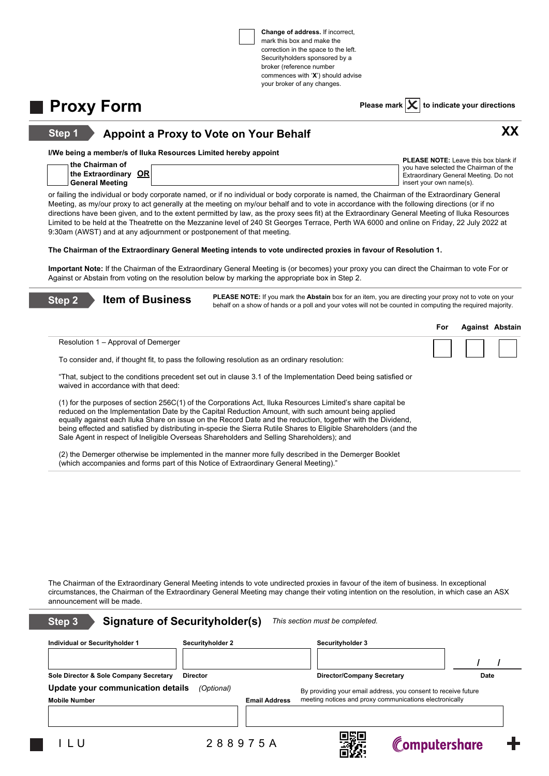**Change of address.** If incorrect, mark this box and make the correction in the space to the left. Securityholders sponsored by a broker (reference number commences with '**X**') should advise your broker of any changes.

**Proxy Form Please mark**  $\times$  to indicate your directions

Computershare

**XX**

### **Appoint a Proxy to Vote on Your Behalf Step 1**

**I/We being a member/s of Iluka Resources Limited hereby appoint**

| $\scriptstyle\rm i$ the Chairman of | <b>PLEASE NOTE:</b> Leave this box blank if |
|-------------------------------------|---------------------------------------------|
|                                     | vou have selected the Chairman of the       |
| OR !<br>the Extraordinary           | Extraordinary General Meeting. Do not       |
| <b>General Meeting</b>              | insert vour own name(s).                    |

or failing the individual or body corporate named, or if no individual or body corporate is named, the Chairman of the Extraordinary General Meeting, as my/our proxy to act generally at the meeting on my/our behalf and to vote in accordance with the following directions (or if no directions have been given, and to the extent permitted by law, as the proxy sees fit) at the Extraordinary General Meeting of Iluka Resources Limited to be held at the Theatrette on the Mezzanine level of 240 St Georges Terrace, Perth WA 6000 and online on Friday, 22 July 2022 at 9:30am (AWST) and at any adjournment or postponement of that meeting.

**The Chairman of the Extraordinary General Meeting intends to vote undirected proxies in favour of Resolution 1.**

**Important Note:** If the Chairman of the Extraordinary General Meeting is (or becomes) your proxy you can direct the Chairman to vote For or Against or Abstain from voting on the resolution below by marking the appropriate box in Step 2.

| Step <sub>2</sub> | PLEASE NOTE: If you mark the Abstain box for an item, you are directing your proxy not to vote on your<br><b>Item of Business</b><br>behalf on a show of hands or a poll and your votes will not be counted in computing the required majority. |                  |                                                                                                                                                                                                                                                                                                                                                 |     |             |                        |
|-------------------|-------------------------------------------------------------------------------------------------------------------------------------------------------------------------------------------------------------------------------------------------|------------------|-------------------------------------------------------------------------------------------------------------------------------------------------------------------------------------------------------------------------------------------------------------------------------------------------------------------------------------------------|-----|-------------|------------------------|
|                   |                                                                                                                                                                                                                                                 |                  |                                                                                                                                                                                                                                                                                                                                                 | For |             | <b>Against Abstain</b> |
|                   | Resolution 1 – Approval of Demerger                                                                                                                                                                                                             |                  |                                                                                                                                                                                                                                                                                                                                                 |     |             |                        |
|                   | To consider and, if thought fit, to pass the following resolution as an ordinary resolution:                                                                                                                                                    |                  |                                                                                                                                                                                                                                                                                                                                                 |     |             |                        |
|                   | waived in accordance with that deed:                                                                                                                                                                                                            |                  | "That, subject to the conditions precedent set out in clause 3.1 of the Implementation Deed being satisfied or                                                                                                                                                                                                                                  |     |             |                        |
|                   | reduced on the Implementation Date by the Capital Reduction Amount, with such amount being applied<br>Sale Agent in respect of Ineligible Overseas Shareholders and Selling Shareholders); and                                                  |                  | (1) for the purposes of section 256C(1) of the Corporations Act, Iluka Resources Limited's share capital be<br>equally against each Iluka Share on issue on the Record Date and the reduction, together with the Dividend,<br>being effected and satisfied by distributing in-specie the Sierra Rutile Shares to Eligible Shareholders (and the |     |             |                        |
|                   | (which accompanies and forms part of this Notice of Extraordinary General Meeting)."                                                                                                                                                            |                  | (2) the Demerger otherwise be implemented in the manner more fully described in the Demerger Booklet                                                                                                                                                                                                                                            |     |             |                        |
|                   |                                                                                                                                                                                                                                                 |                  | The Chairman of the Extraordinary General Meeting intends to vote undirected proxies in favour of the item of business. In exceptional<br>circumstances, the Chairman of the Extraordinary General Meeting may change their voting intention on the resolution, in which case an ASX                                                            |     |             |                        |
|                   | announcement will be made.                                                                                                                                                                                                                      |                  |                                                                                                                                                                                                                                                                                                                                                 |     |             |                        |
| Step 3            | <b>Signature of Securityholder(s)</b>                                                                                                                                                                                                           |                  | This section must be completed.                                                                                                                                                                                                                                                                                                                 |     |             |                        |
|                   | Individual or Securityholder 1                                                                                                                                                                                                                  | Securityholder 2 | Securityholder 3                                                                                                                                                                                                                                                                                                                                |     |             |                        |
|                   |                                                                                                                                                                                                                                                 |                  |                                                                                                                                                                                                                                                                                                                                                 |     |             |                        |
|                   | Sole Director & Sole Company Secretary<br><b>Director</b>                                                                                                                                                                                       |                  | <b>Director/Company Secretary</b>                                                                                                                                                                                                                                                                                                               |     | <b>Date</b> |                        |
|                   | Update your communication details                                                                                                                                                                                                               | (Optional)       | By providing your email address, you consent to receive future                                                                                                                                                                                                                                                                                  |     |             |                        |

**Mobile Number Email Address** meeting notices and proxy communications electronically

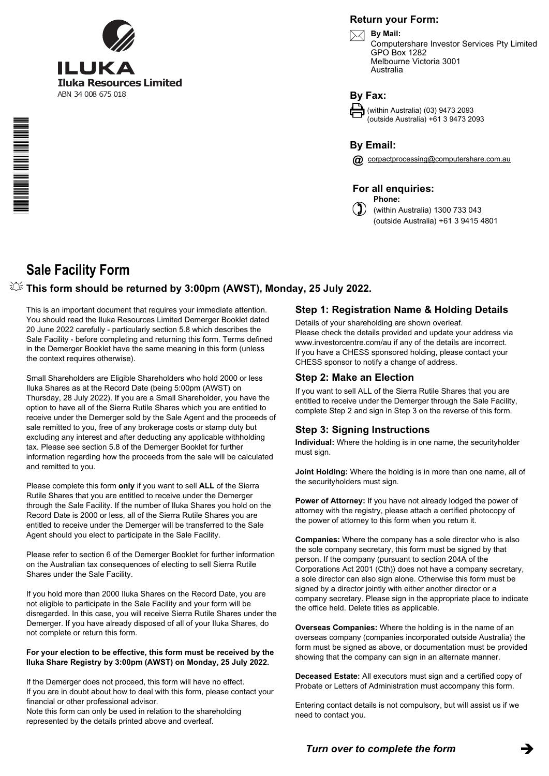

### **Return your Form:**



Computershare Investor Services Pty Limited GPO Box 1282 Melbourne Victoria 3001 Australia

**By Fax:**

(within Australia) (03) 9473 2093 (outside Australia) +61 3 9473 2093

**By Email:**

**@** corpactprocessing@computershare.com.au

**For all enquiries:**

**Phone:**  $\binom{1}{2}$  (within Australia) 1300 733 043 (outside Australia) +61 3 9415 4801

# **Sale Facility Form**

\*S000001Q01\*

### **This form should be returned by 3:00pm (AWST), Monday, 25 July 2022.**

This is an important document that requires your immediate attention. You should read the Iluka Resources Limited Demerger Booklet dated 20 June 2022 carefully - particularly section 5.8 which describes the Sale Facility - before completing and returning this form. Terms defined in the Demerger Booklet have the same meaning in this form (unless the context requires otherwise).

Small Shareholders are Eligible Shareholders who hold 2000 or less Iluka Shares as at the Record Date (being 5:00pm (AWST) on Thursday, 28 July 2022). If you are a Small Shareholder, you have the option to have all of the Sierra Rutile Shares which you are entitled to receive under the Demerger sold by the Sale Agent and the proceeds of sale remitted to you, free of any brokerage costs or stamp duty but excluding any interest and after deducting any applicable withholding tax. Please see section 5.8 of the Demerger Booklet for further information regarding how the proceeds from the sale will be calculated and remitted to you.

Please complete this form **only** if you want to sell **ALL** of the Sierra Rutile Shares that you are entitled to receive under the Demerger through the Sale Facility. If the number of Iluka Shares you hold on the Record Date is 2000 or less, all of the Sierra Rutile Shares you are entitled to receive under the Demerger will be transferred to the Sale Agent should you elect to participate in the Sale Facility.

Please refer to section 6 of the Demerger Booklet for further information on the Australian tax consequences of electing to sell Sierra Rutile Shares under the Sale Facility.

If you hold more than 2000 Iluka Shares on the Record Date, you are not eligible to participate in the Sale Facility and your form will be disregarded. In this case, you will receive Sierra Rutile Shares under the Demerger. If you have already disposed of all of your Iluka Shares, do not complete or return this form.

### **For your election to be effective, this form must be received by the Iluka Share Registry by 3:00pm (AWST) on Monday, 25 July 2022.**

If the Demerger does not proceed, this form will have no effect. If you are in doubt about how to deal with this form, please contact your financial or other professional advisor.

Note this form can only be used in relation to the shareholding represented by the details printed above and overleaf.

## **Step 1: Registration Name & Holding Details**

Details of your shareholding are shown overleaf. Please check the details provided and update your address via www.investorcentre.com/au if any of the details are incorrect. If you have a CHESS sponsored holding, please contact your CHESS sponsor to notify a change of address.

### **Step 2: Make an Election**

If you want to sell ALL of the Sierra Rutile Shares that you are entitled to receive under the Demerger through the Sale Facility, complete Step 2 and sign in Step 3 on the reverse of this form.

### **Step 3: Signing Instructions**

**Individual:** Where the holding is in one name, the securityholder must sign.

**Joint Holding:** Where the holding is in more than one name, all of the securityholders must sign.

**Power of Attorney:** If you have not already lodged the power of attorney with the registry, please attach a certified photocopy of the power of attorney to this form when you return it.

**Companies:** Where the company has a sole director who is also the sole company secretary, this form must be signed by that person. If the company (pursuant to section 204A of the Corporations Act 2001 (Cth)) does not have a company secretary, a sole director can also sign alone. Otherwise this form must be signed by a director jointly with either another director or a company secretary. Please sign in the appropriate place to indicate the office held. Delete titles as applicable.

**Overseas Companies:** Where the holding is in the name of an overseas company (companies incorporated outside Australia) the form must be signed as above, or documentation must be provided showing that the company can sign in an alternate manner.

**Deceased Estate:** All executors must sign and a certified copy of Probate or Letters of Administration must accompany this form.

Entering contact details is not compulsory, but will assist us if we need to contact you.